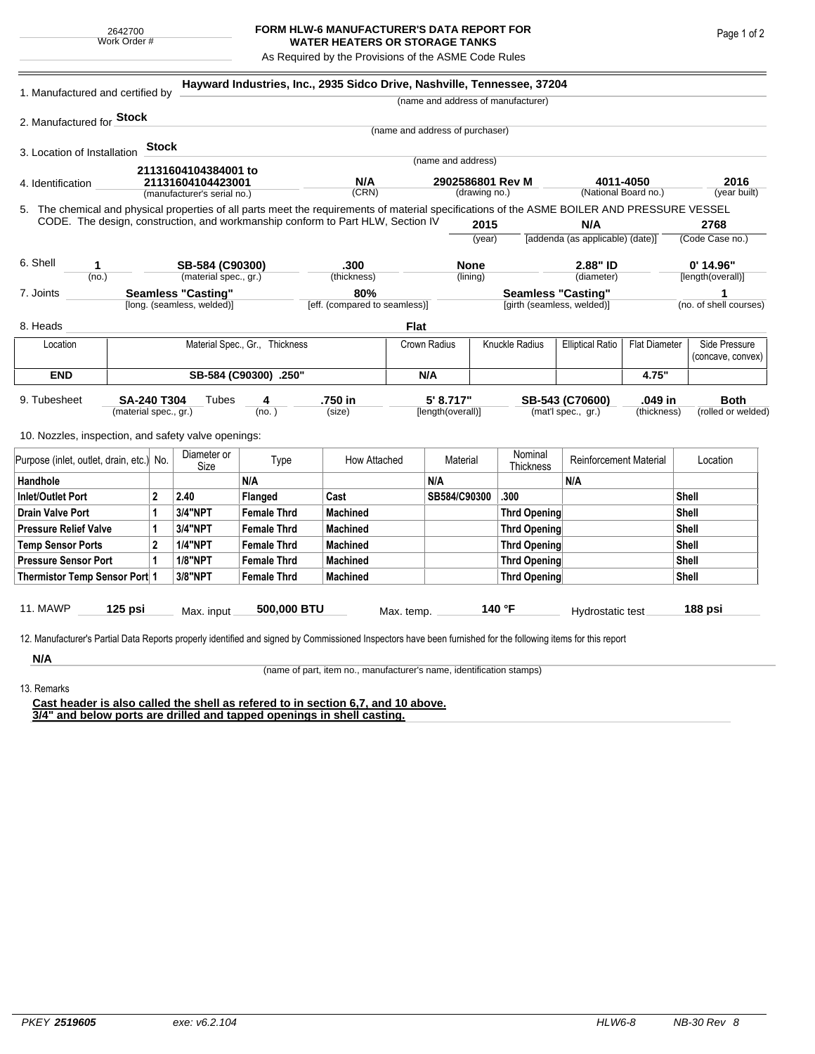## **FORM HLW-6 MANUFACTURER'S DATA REPORT FOR WATER HEATERS OR STORAGE TANKS**

As Required by the Provisions of the ASME Code Rules

| 1. Manufactured and certified by                                                                                                                              |                                             |       |                            | Hayward Industries, Inc., 2935 Sidco Drive, Nashville, Tennessee, 37204 |                               |                                 |                                |                |                                    |                                                 |                        |                                    |
|---------------------------------------------------------------------------------------------------------------------------------------------------------------|---------------------------------------------|-------|----------------------------|-------------------------------------------------------------------------|-------------------------------|---------------------------------|--------------------------------|----------------|------------------------------------|-------------------------------------------------|------------------------|------------------------------------|
|                                                                                                                                                               |                                             |       |                            |                                                                         |                               |                                 |                                |                | (name and address of manufacturer) |                                                 |                        |                                    |
| 2. Manufactured for Stock                                                                                                                                     |                                             |       |                            |                                                                         |                               | (name and address of purchaser) |                                |                |                                    |                                                 |                        |                                    |
|                                                                                                                                                               |                                             | Stock |                            |                                                                         |                               |                                 |                                |                |                                    |                                                 |                        |                                    |
| 3. Location of Installation                                                                                                                                   |                                             |       |                            |                                                                         |                               |                                 | (name and address)             |                |                                    |                                                 |                        |                                    |
| 21131604104384001 to                                                                                                                                          |                                             |       |                            |                                                                         | N/A                           | 2902586801 Rev M                |                                |                |                                    |                                                 | 2016                   |                                    |
| 21131604104423001<br>4. Identification<br>(manufacturer's serial no.)                                                                                         |                                             |       |                            |                                                                         | (CRN)                         |                                 | (drawing no.)                  |                |                                    | 4011-4050<br>(National Board no.)               |                        | (year built)                       |
| 5. The chemical and physical properties of all parts meet the requirements of material specifications of the ASME BOILER AND PRESSURE VESSEL                  |                                             |       |                            |                                                                         |                               |                                 |                                |                |                                    |                                                 |                        |                                    |
| CODE. The design, construction, and workmanship conform to Part HLW, Section IV                                                                               |                                             |       |                            |                                                                         |                               |                                 |                                | 2015           | N/A                                |                                                 |                        | 2768                               |
|                                                                                                                                                               |                                             |       |                            |                                                                         |                               |                                 |                                | (year)         |                                    | [addenda (as applicable) (date)]                |                        | (Code Case no.)                    |
| 6. Shell<br>1.                                                                                                                                                |                                             |       | SB-584 (C90300)            |                                                                         | .300                          |                                 |                                | <b>None</b>    |                                    | 2.88" ID                                        |                        | $0'$ 14.96"                        |
| (no.)                                                                                                                                                         |                                             |       | (material spec., gr.)      |                                                                         | (thickness)                   |                                 |                                | (lining)       |                                    | (diameter)                                      |                        | [length(overall)]                  |
| 7. Joints                                                                                                                                                     |                                             |       | <b>Seamless "Casting"</b>  |                                                                         | 80%                           |                                 |                                |                | <b>Seamless "Casting"</b>          |                                                 |                        | 1                                  |
|                                                                                                                                                               |                                             |       | [long. (seamless, welded)] |                                                                         | [eff. (compared to seamless)] |                                 |                                |                | [girth (seamless, welded)]         |                                                 |                        | (no. of shell courses)             |
| 8. Heads                                                                                                                                                      |                                             |       |                            |                                                                         |                               | <b>Flat</b>                     |                                |                |                                    |                                                 |                        |                                    |
| Location                                                                                                                                                      | Material Spec., Gr., Thickness              |       |                            |                                                                         | Crown Radius                  |                                 |                                | Knuckle Radius |                                    | <b>Elliptical Ratio</b><br><b>Flat Diameter</b> |                        | Side Pressure<br>(concave, convex) |
| <b>END</b>                                                                                                                                                    | SB-584 (C90300) .250"                       |       |                            |                                                                         |                               | N/A                             |                                |                |                                    |                                                 | 4.75"                  |                                    |
| 9. Tubesheet                                                                                                                                                  | <b>SA-240 T304</b><br>(material spec., gr.) |       | Tubes                      | 4<br>(no.)                                                              | .750 in<br>(size)             |                                 | 5' 8.717"<br>[length(overall)] |                |                                    | SB-543 (C70600)<br>(mat'l spec., gr.)           | .049 in<br>(thickness) | <b>Both</b><br>(rolled or welded)  |
| 10. Nozzles, inspection, and safety valve openings:                                                                                                           |                                             |       |                            |                                                                         |                               |                                 |                                |                |                                    |                                                 |                        |                                    |
| Purpose (inlet, outlet, drain, etc.) No.                                                                                                                      |                                             |       | Diameter or<br>Size        | Type                                                                    | How Attached                  |                                 | Material                       |                | Nominal<br><b>Thickness</b>        | <b>Reinforcement Material</b>                   |                        | Location                           |
| Handhole                                                                                                                                                      |                                             |       |                            | N/A                                                                     |                               |                                 | N/A                            |                |                                    | N/A                                             |                        |                                    |
| <b>Inlet/Outlet Port</b>                                                                                                                                      | 2                                           |       | 2.40                       | Flanged                                                                 | Cast                          |                                 | SB584/C90300                   |                | .300                               |                                                 |                        | <b>Shell</b>                       |
| <b>Drain Valve Port</b>                                                                                                                                       |                                             | 1     | 3/4"NPT                    | <b>Female Thrd</b>                                                      | <b>Machined</b>               |                                 |                                |                | <b>Thrd Opening</b>                |                                                 |                        | Shell                              |
| <b>Pressure Relief Valve</b>                                                                                                                                  |                                             | 1     | 3/4"NPT                    | <b>Female Thrd</b>                                                      | <b>Machined</b>               |                                 |                                |                | <b>Thrd Opening</b>                |                                                 |                        | <b>Shell</b>                       |
| $\overline{2}$<br><b>Temp Sensor Ports</b>                                                                                                                    |                                             |       | <b>1/4"NPT</b>             | <b>Female Thrd</b>                                                      | <b>Machined</b>               |                                 |                                |                | <b>Thrd Opening</b>                |                                                 |                        | <b>Shell</b>                       |
| <b>Pressure Sensor Port</b>                                                                                                                                   |                                             | 1     | <b>1/8"NPT</b>             | <b>Female Thrd</b>                                                      | <b>Machined</b>               |                                 |                                |                | <b>Thrd Opening</b>                |                                                 |                        | <b>Shell</b>                       |
| Thermistor Temp Sensor Port 1                                                                                                                                 |                                             |       | 3/8"NPT                    | <b>Female Thrd</b>                                                      | <b>Machined</b>               |                                 |                                |                | <b>Thrd Opening</b>                |                                                 |                        | <b>Shell</b>                       |
| 11. MAWP                                                                                                                                                      | $125$ psi                                   |       | Max. input                 | 500,000 BTU                                                             |                               | Max. temp.                      |                                |                | 140 °F                             | Hydrostatic test                                |                        | 188 psi                            |
| 12. Manufacturer's Partial Data Reports properly identified and signed by Commissioned Inspectors have been furnished for the following items for this report |                                             |       |                            |                                                                         |                               |                                 |                                |                |                                    |                                                 |                        |                                    |
| N/A                                                                                                                                                           |                                             |       |                            |                                                                         |                               |                                 |                                |                |                                    |                                                 |                        |                                    |

13. Remarks

(name of part, item no., manufacturer's name, identification stamps)

**Cast header is also called the shell as refered to in section 6,7, and 10 above. 3/4" and below ports are drilled and tapped openings in shell casting.**